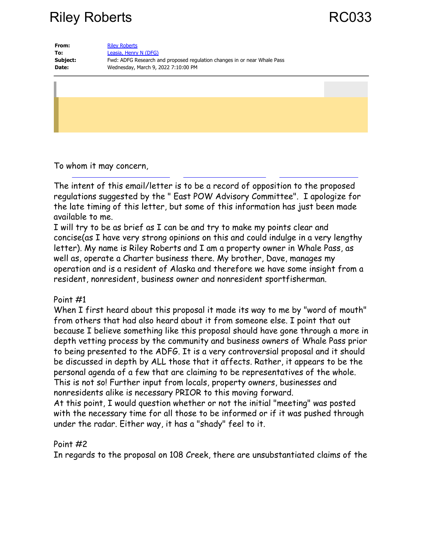# Riley Roberts **RC033**

| From:    | <b>Riley Roberts</b>                                                     |
|----------|--------------------------------------------------------------------------|
| To:      | Leasia, Henry N (DFG)                                                    |
| Subject: | Fwd: ADFG Research and proposed regulation changes in or near Whale Pass |
| Date:    | Wednesday, March 9, 2022 7:10:00 PM                                      |
|          |                                                                          |

To whom it may concern,

The intent of this email/letter is to be a record of opposition to the proposed regulations suggested by the " East POW Advisory Committee". I apologize for the late timing of this letter, but some of this information has just been made available to me.

I will try to be as brief as I can be and try to make my points clear and concise(as I have very strong opinions on this and could indulge in a very lengthy letter). My name is Riley Roberts and I am a property owner in Whale Pass, as well as, operate a Charter business there. My brother, Dave, manages my operation and is a resident of Alaska and therefore we have some insight from a resident, nonresident, business owner and nonresident sportfisherman.

#### Point #1

When I first heard about this proposal it made its way to me by "word of mouth" from others that had also heard about it from someone else. I point that out because I believe something like this proposal should have gone through a more in depth vetting process by the community and business owners of Whale Pass prior to being presented to the ADFG. It is a very controversial proposal and it should be discussed in depth by ALL those that it affects. Rather, it appears to be the personal agenda of a few that are claiming to be representatives of the whole. This is not so! Further input from locals, property owners, businesses and nonresidents alike is necessary PRIOR to this moving forward.

At this point, I would question whether or not the initial "meeting" was posted with the necessary time for all those to be informed or if it was pushed through under the radar. Either way, it has a "shady" feel to it.

### Point #2

In regards to the proposal on 108 Creek, there are unsubstantiated claims of the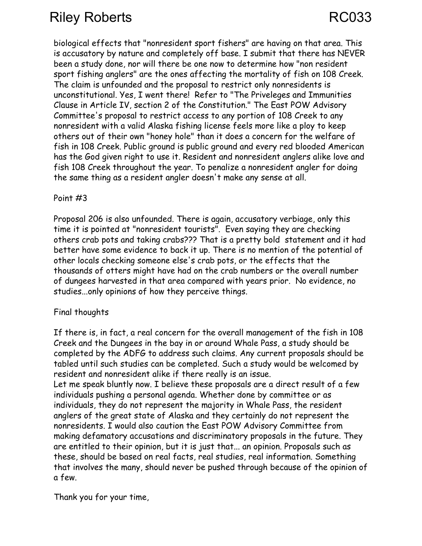# Riley Roberts **RC033**

biological effects that "nonresident sport fishers" are having on that area. This is accusatory by nature and completely off base. I submit that there has NEVER been a study done, nor will there be one now to determine how "non resident sport fishing anglers" are the ones affecting the mortality of fish on 108 Creek. The claim is unfounded and the proposal to restrict only nonresidents is unconstitutional. Yes, I went there! Refer to "The Priveleges and Immunities Clause in Article IV, section 2 of the Constitution." The East POW Advisory Committee's proposal to restrict access to any portion of 108 Creek to any nonresident with a valid Alaska fishing license feels more like a ploy to keep others out of their own "honey hole" than it does a concern for the welfare of fish in 108 Creek. Public ground is public ground and every red blooded American has the God given right to use it. Resident and nonresident anglers alike love and fish 108 Creek throughout the year. To penalize a nonresident angler for doing the same thing as a resident angler doesn't make any sense at all.

#### Point #3

Proposal 206 is also unfounded. There is again, accusatory verbiage, only this time it is pointed at "nonresident tourists". Even saying they are checking others crab pots and taking crabs??? That is a pretty bold statement and it had better have some evidence to back it up. There is no mention of the potential of other locals checking someone else's crab pots, or the effects that the thousands of otters might have had on the crab numbers or the overall number of dungees harvested in that area compared with years prior. No evidence, no studies...only opinions of how they perceive things.

### Final thoughts

If there is, in fact, a real concern for the overall management of the fish in 108 Creek and the Dungees in the bay in or around Whale Pass, a study should be completed by the ADFG to address such claims. Any current proposals should be tabled until such studies can be completed. Such a study would be welcomed by resident and nonresident alike if there really is an issue.

Let me speak bluntly now. I believe these proposals are a direct result of a few individuals pushing a personal agenda. Whether done by committee or as individuals, they do not represent the majority in Whale Pass, the resident anglers of the great state of Alaska and they certainly do not represent the nonresidents. I would also caution the East POW Advisory Committee from making defamatory accusations and discriminatory proposals in the future. They are entitled to their opinion, but it is just that... an opinion. Proposals such as these, should be based on real facts, real studies, real information. Something that involves the many, should never be pushed through because of the opinion of a few.

Thank you for your time,